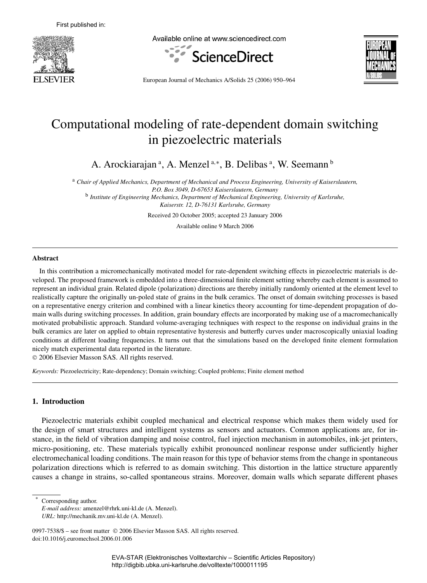

Available online at www.sciencedirect.com





European Journal of Mechanics A/Solids 25 (2006) 950–964

# Computational modeling of rate-dependent domain switching in piezoelectric materials

A. Arockiarajan<sup>a</sup>, A. Menzel<sup>a,\*</sup>, B. Delibas<sup>a</sup>, W. Seemann<sup>b</sup>

<sup>a</sup> *Chair of Applied Mechanics, Department of Mechanical and Process Engineering, University of Kaiserslautern, P.O. Box 3049, D-67653 Kaiserslautern, Germany* b *Institute of Engineering Mechanics, Department of Mechanical Engineering, University of Karlsruhe,*

*Kaiserstr. 12, D-76131 Karlsruhe, Germany*

Received 20 October 2005; accepted 23 January 2006

Available online 9 March 2006

#### **Abstract**

In this contribution a micromechanically motivated model for rate-dependent switching effects in piezoelectric materials is developed. The proposed framework is embedded into a three-dimensional finite element setting whereby each element is assumed to represent an individual grain. Related dipole (polarization) directions are thereby initially randomly oriented at the element level to realistically capture the originally un-poled state of grains in the bulk ceramics. The onset of domain switching processes is based on a representative energy criterion and combined with a linear kinetics theory accounting for time-dependent propagation of domain walls during switching processes. In addition, grain boundary effects are incorporated by making use of a macromechanically motivated probabilistic approach. Standard volume-averaging techniques with respect to the response on individual grains in the bulk ceramics are later on applied to obtain representative hysteresis and butterfly curves under macroscopically uniaxial loading conditions at different loading frequencies. It turns out that the simulations based on the developed finite element formulation nicely match experimental data reported in the literature.

2006 Elsevier Masson SAS. All rights reserved.

*Keywords:* Piezoelectricity; Rate-dependency; Domain switching; Coupled problems; Finite element method

# **1. Introduction**

Piezoelectric materials exhibit coupled mechanical and electrical response which makes them widely used for the design of smart structures and intelligent systems as sensors and actuators. Common applications are, for instance, in the field of vibration damping and noise control, fuel injection mechanism in automobiles, ink-jet printers, micro-positioning, etc. These materials typically exhibit pronounced nonlinear response under sufficiently higher electromechanical loading conditions. The main reason for this type of behavior stems from the change in spontaneous polarization directions which is referred to as domain switching. This distortion in the lattice structure apparently causes a change in strains, so-called spontaneous strains. Moreover, domain walls which separate different phases

Corresponding author.

*E-mail address:* amenzel@rhrk.uni-kl.de (A. Menzel).

*URL:* http://mechanik.mv.uni-kl.de (A. Menzel).

<sup>0997-7538/\$ -</sup> see front matter © 2006 Elsevier Masson SAS. All rights reserved. doi:10.1016/j.euromechsol.2006.01.006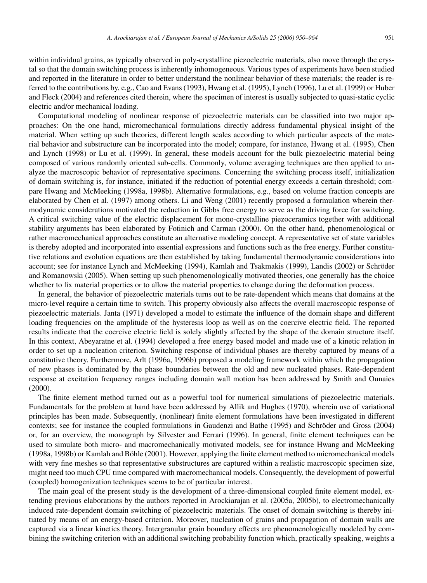within individual grains, as typically observed in poly-crystalline piezoelectric materials, also move through the crystal so that the domain switching process is inherently inhomogeneous. Various types of experiments have been studied and reported in the literature in order to better understand the nonlinear behavior of these materials; the reader is referred to the contributions by, e.g., Cao and Evans (1993), Hwang et al. (1995), Lynch (1996), Lu et al. (1999) or Huber and Fleck (2004) and references cited therein, where the specimen of interest is usually subjected to quasi-static cyclic electric and/or mechanical loading.

Computational modeling of nonlinear response of piezoelectric materials can be classified into two major approaches: On the one hand, micromechanical formulations directly address fundamental physical insight of the material. When setting up such theories, different length scales according to which particular aspects of the material behavior and substructure can be incorporated into the model; compare, for instance, Hwang et al. (1995), Chen and Lynch (1998) or Lu et al. (1999). In general, these models account for the bulk piezoelectric material being composed of various randomly oriented sub-cells. Commonly, volume averaging techniques are then applied to analyze the macroscopic behavior of representative specimens. Concerning the switching process itself, initialization of domain switching is, for instance, initiated if the reduction of potential energy exceeds a certain threshold; compare Hwang and McMeeking (1998a, 1998b). Alternative formulations, e.g., based on volume fraction concepts are elaborated by Chen et al. (1997) among others. Li and Weng (2001) recently proposed a formulation wherein thermodynamic considerations motivated the reduction in Gibbs free energy to serve as the driving force for switching. A critical switching value of the electric displacement for mono-crystalline piezoceramics together with additional stability arguments has been elaborated by Fotinich and Carman (2000). On the other hand, phenomenological or rather macromechanical approaches constitute an alternative modeling concept. A representative set of state variables is thereby adopted and incorporated into essential expressions and functions such as the free energy. Further constitutive relations and evolution equations are then established by taking fundamental thermodynamic considerations into account; see for instance Lynch and McMeeking (1994), Kamlah and Tsakmakis (1999), Landis (2002) or Schröder and Romanowski (2005). When setting up such phenomenologically motivated theories, one generally has the choice whether to fix material properties or to allow the material properties to change during the deformation process.

In general, the behavior of piezoelectric materials turns out to be rate-dependent which means that domains at the micro-level require a certain time to switch. This property obviously also affects the overall macroscopic response of piezoelectric materials. Janta (1971) developed a model to estimate the influence of the domain shape and different loading frequencies on the amplitude of the hysteresis loop as well as on the coercive electric field. The reported results indicate that the coercive electric field is solely slightly affected by the shape of the domain structure itself. In this context, Abeyaratne et al. (1994) developed a free energy based model and made use of a kinetic relation in order to set up a nucleation criterion. Switching response of individual phases are thereby captured by means of a constitutive theory. Furthermore, Arlt (1996a, 1996b) proposed a modeling framework within which the propagation of new phases is dominated by the phase boundaries between the old and new nucleated phases. Rate-dependent response at excitation frequency ranges including domain wall motion has been addressed by Smith and Ounaies (2000).

The finite element method turned out as a powerful tool for numerical simulations of piezoelectric materials. Fundamentals for the problem at hand have been addressed by Allik and Hughes (1970), wherein use of variational principles has been made. Subsequently, (nonlinear) finite element formulations have been investigated in different contexts; see for instance the coupled formulations in Gaudenzi and Bathe (1995) and Schröder and Gross (2004) or, for an overview, the monograph by Silvester and Ferrari (1996). In general, finite element techniques can be used to simulate both micro- and macromechanically motivated models, see for instance Hwang and McMeeking (1998a, 1998b) or Kamlah and Böhle (2001). However, applying the finite element method to micromechanical models with very fine meshes so that representative substructures are captured within a realistic macroscopic specimen size, might need too much CPU time compared with macromechanical models. Consequently, the development of powerful (coupled) homogenization techniques seems to be of particular interest.

The main goal of the present study is the development of a three-dimensional coupled finite element model, extending previous elaborations by the authors reported in Arockiarajan et al. (2005a, 2005b), to electromechanically induced rate-dependent domain switching of piezoelectric materials. The onset of domain switching is thereby initiated by means of an energy-based criterion. Moreover, nucleation of grains and propagation of domain walls are captured via a linear kinetics theory. Intergranular grain boundary effects are phenomenologically modeled by combining the switching criterion with an additional switching probability function which, practically speaking, weights a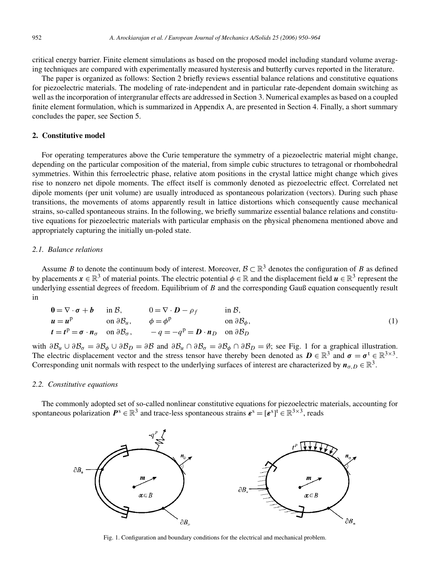critical energy barrier. Finite element simulations as based on the proposed model including standard volume averaging techniques are compared with experimentally measured hysteresis and butterfly curves reported in the literature.

The paper is organized as follows: Section 2 briefly reviews essential balance relations and constitutive equations for piezoelectric materials. The modeling of rate-independent and in particular rate-dependent domain switching as well as the incorporation of intergranular effects are addressed in Section 3. Numerical examples as based on a coupled finite element formulation, which is summarized in Appendix A, are presented in Section 4. Finally, a short summary concludes the paper, see Section 5.

# **2. Constitutive model**

For operating temperatures above the Curie temperature the symmetry of a piezoelectric material might change, depending on the particular composition of the material, from simple cubic structures to tetragonal or rhombohedral symmetries. Within this ferroelectric phase, relative atom positions in the crystal lattice might change which gives rise to nonzero net dipole moments. The effect itself is commonly denoted as piezoelectric effect. Correlated net dipole moments (per unit volume) are usually introduced as spontaneous polarization (vectors). During such phase transitions, the movements of atoms apparently result in lattice distortions which consequently cause mechanical strains, so-called spontaneous strains. In the following, we briefly summarize essential balance relations and constitutive equations for piezoelectric materials with particular emphasis on the physical phenomena mentioned above and appropriately capturing the initially un-poled state.

## *2.1. Balance relations*

Assume B to denote the continuum body of interest. Moreover,  $\mathcal{B} \subset \mathbb{R}^3$  denotes the configuration of B as defined by placements  $\mathbf{x} \in \mathbb{R}^3$  of material points. The electric potential  $\phi \in \mathbb{R}$  and the displacement field  $\mathbf{u} \in \mathbb{R}^3$  represent the underlying essential degrees of freedom. Equilibrium of  $B$  and the corresponding Gauß equation consequently result in

$$
0 = \nabla \cdot \boldsymbol{\sigma} + \boldsymbol{b} \quad \text{in } \mathcal{B}, \qquad 0 = \nabla \cdot \boldsymbol{D} - \rho_f \qquad \text{in } \mathcal{B},
$$
  
\n
$$
\boldsymbol{u} = \boldsymbol{u}^{\text{p}} \qquad \text{on } \partial \mathcal{B}_u, \qquad \phi = \phi^{\text{p}} \qquad \text{on } \partial \mathcal{B}_{\phi},
$$
  
\n
$$
\boldsymbol{t} = \boldsymbol{t}^{\text{p}} = \boldsymbol{\sigma} \cdot \boldsymbol{n}_{\sigma} \quad \text{on } \partial \mathcal{B}_{\sigma}, \qquad -q = -q^{\text{p}} = \boldsymbol{D} \cdot \boldsymbol{n}_{D} \quad \text{on } \partial \mathcal{B}_{D}
$$
\n(1)

with  $\partial \mathcal{B}_u \cup \partial \mathcal{B}_\sigma = \partial \mathcal{B}_\phi \cup \partial \mathcal{B}_D = \partial \mathcal{B}$  and  $\partial \mathcal{B}_u \cap \partial \mathcal{B}_\sigma = \partial \mathcal{B}_\phi \cap \partial \mathcal{B}_D = \emptyset$ ; see Fig. 1 for a graphical illustration. The electric displacement vector and the stress tensor have thereby been denoted as  $\mathbf{D} \in \mathbb{R}^3$  and  $\sigma = \sigma^t \in \mathbb{R}^{3 \times 3}$ . Corresponding unit normals with respect to the underlying surfaces of interest are characterized by  $n_{\sigma,D} \in \mathbb{R}^3$ .

#### *2.2. Constitutive equations*

The commonly adopted set of so-called nonlinear constitutive equations for piezoelectric materials, accounting for spontaneous polarization  $P^s \in \mathbb{R}^3$  and trace-less spontaneous strains  $\boldsymbol{\varepsilon}^s = [\boldsymbol{\varepsilon}^s]^t \in \mathbb{R}^{3 \times 3}$ , reads



Fig. 1. Configuration and boundary conditions for the electrical and mechanical problem.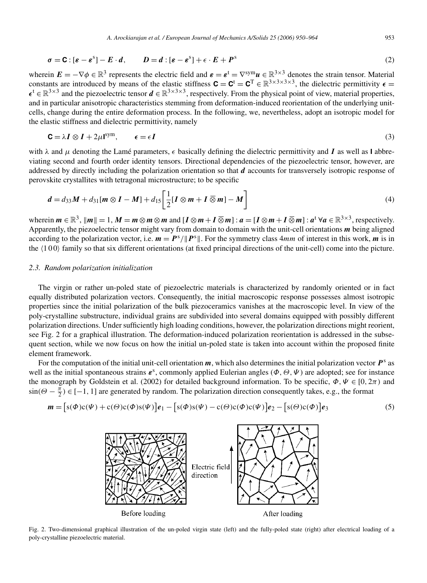$$
\sigma = \mathbf{C} : [\varepsilon - \varepsilon^{s}] - E \cdot d, \qquad D = d : [\varepsilon - \varepsilon^{s}] + \varepsilon \cdot E + P^{s}
$$
\n(2)

wherein  $\mathbf{E} = -\nabla \phi \in \mathbb{R}^3$  represents the electric field and  $\mathbf{\varepsilon} = \mathbf{\varepsilon}^{\text{t}} = \nabla^{\text{sym}} \mathbf{u} \in \mathbb{R}^{3 \times 3}$  denotes the strain tensor. Material constants are introduced by means of the elastic stiffness  $\mathbf{C} = \mathbf{C}^{\text{T}} \in \mathbb{R}^{3 \times 3 \times 3 \times 3}$ , the dielectric permittivity  $\epsilon =$  $\epsilon^t \in \mathbb{R}^{3 \times 3}$  and the piezoelectric tensor  $\mathbf{d} \in \mathbb{R}^{3 \times 3 \times 3}$ , respectively. From the physical point of view, material properties, and in particular anisotropic characteristics stemming from deformation-induced reorientation of the underlying unitcells, change during the entire deformation process. In the following, we, nevertheless, adopt an isotropic model for the elastic stiffness and dielectric permittivity, namely

$$
\mathbf{C} = \lambda \mathbf{I} \otimes \mathbf{I} + 2\mu \mathbf{I}^{\text{sym}}, \qquad \epsilon = \epsilon \mathbf{I} \tag{3}
$$

with  $\lambda$  and  $\mu$  denoting the Lamé parameters,  $\epsilon$  basically defining the dielectric permittivity and I as well as **I** abbreviating second and fourth order identity tensors. Directional dependencies of the piezoelectric tensor, however, are addressed by directly including the polarization orientation so that  $d$  accounts for transversely isotropic response of perovskite crystallites with tetragonal microstructure; to be specific

$$
\boldsymbol{d} = d_{33}\boldsymbol{M} + d_{31}[\boldsymbol{m} \otimes \boldsymbol{I} - \boldsymbol{M}] + d_{15}\bigg[\frac{1}{2}[\boldsymbol{I} \otimes \boldsymbol{m} + \boldsymbol{I} \overline{\otimes} \boldsymbol{m}] - \boldsymbol{M}\bigg]
$$
(4)

wherein  $m \in \mathbb{R}^3$ ,  $\|m\| = 1$ ,  $M = m \otimes m \otimes m$  and  $[I \otimes m + I \overline{\otimes} m]$ :  $a = [I \otimes m + I \overline{\otimes} m]$ :  $a^t \forall a \in \mathbb{R}^{3 \times 3}$ , respectively. Apparently, the piezoelectric tensor might vary from domain to domain with the unit-cell orientations  $m$  being aligned according to the polarization vector, i.e.  $m = P^s / ||P^s||$ . For the symmetry class  $4mm$  of interest in this work, m is in the 100 family so that six different orientations (at fixed principal directions of the unit-cell) come into the picture.

# *2.3. Random polarization initialization*

The virgin or rather un-poled state of piezoelectric materials is characterized by randomly oriented or in fact equally distributed polarization vectors. Consequently, the initial macroscopic response possesses almost isotropic properties since the initial polarization of the bulk piezoceramics vanishes at the macroscopic level. In view of the poly-crystalline substructure, individual grains are subdivided into several domains equipped with possibly different polarization directions. Under sufficiently high loading conditions, however, the polarization directions might reorient, see Fig. 2 for a graphical illustration. The deformation-induced polarization reorientation is addressed in the subsequent section, while we now focus on how the initial un-poled state is taken into account within the proposed finite element framework.

For the computation of the initial unit-cell orientation  $m$ , which also determines the initial polarization vector  $P^s$  as well as the initial spontaneous strains  $\epsilon^s$ , commonly applied Eulerian angles  $(\Phi, \Theta, \Psi)$  are adopted; see for instance the monograph by Goldstein et al. (2002) for detailed background information. To be specific,  $\Phi, \Psi \in [0, 2\pi)$  and  $\sin(\Theta - \frac{\pi}{2}) \in [-1, 1]$  are generated by random. The polarization direction consequently takes, e.g., the format

$$
\mathbf{m} = [s(\Phi)c(\Psi) + c(\Theta)c(\Phi)s(\Psi)]\mathbf{e}_1 - [s(\Phi)s(\Psi) - c(\Theta)c(\Phi)c(\Psi)]\mathbf{e}_2 - [s(\Theta)c(\Phi)]\mathbf{e}_3 \tag{5}
$$



Fig. 2. Two-dimensional graphical illustration of the un-poled virgin state (left) and the fully-poled state (right) after electrical loading of a poly-crystalline piezoelectric material.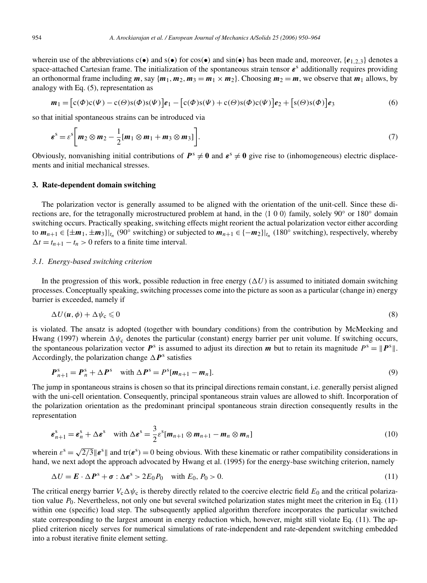wherein use of the abbreviations  $c(\bullet)$  and  $s(\bullet)$  for  $\cos(\bullet)$  and  $\sin(\bullet)$  has been made and, moreover,  $\{e_{1,2,3}\}$  denotes a space-attached Cartesian frame. The initialization of the spontaneous strain tensor  $\varepsilon$ <sup>s</sup> additionally requires providing an orthonormal frame including  $m$ , say  $\{m_1, m_2, m_3 = m_1 \times m_2\}$ . Choosing  $m_2 = m$ , we observe that  $m_1$  allows, by analogy with Eq. (5), representation as

$$
\boldsymbol{m}_1 = \left[c(\boldsymbol{\Phi})c(\boldsymbol{\Psi}) - c(\boldsymbol{\Theta})s(\boldsymbol{\Phi})s(\boldsymbol{\Psi})\right]\boldsymbol{e}_1 - \left[c(\boldsymbol{\Phi})s(\boldsymbol{\Psi}) + c(\boldsymbol{\Theta})s(\boldsymbol{\Phi})c(\boldsymbol{\Psi})\right]\boldsymbol{e}_2 + \left[s(\boldsymbol{\Theta})s(\boldsymbol{\Phi})\right]\boldsymbol{e}_3\tag{6}
$$

so that initial spontaneous strains can be introduced via

$$
\boldsymbol{\varepsilon}^{\mathrm{s}} = \varepsilon^{\mathrm{s}} \bigg[ m_2 \otimes m_2 - \frac{1}{2} [m_1 \otimes m_1 + m_3 \otimes m_3] \bigg]. \tag{7}
$$

Obviously, nonvanishing initial contributions of  $P^s \neq 0$  and  $\varepsilon^s \neq 0$  give rise to (inhomogeneous) electric displacements and initial mechanical stresses.

## **3. Rate-dependent domain switching**

The polarization vector is generally assumed to be aligned with the orientation of the unit-cell. Since these directions are, for the tetragonally microstructured problem at hand, in the  $\langle 1 \ 0 \ 0 \rangle$  family, solely 90° or 180° domain switching occurs. Practically speaking, switching effects might reorient the actual polarization vector either according to  $m_{n+1} \in \{\pm m_1, \pm m_3\}\vert_{t_n}$  (90° switching) or subjected to  $m_{n+1} \in \{-m_2\}\vert_{t_n}$  (180° switching), respectively, whereby  $\Delta t = t_{n+1} - t_n > 0$  refers to a finite time interval.

#### *3.1. Energy-based switching criterion*

In the progression of this work, possible reduction in free energy  $(\Delta U)$  is assumed to initiated domain switching processes. Conceptually speaking, switching processes come into the picture as soon as a particular (change in) energy barrier is exceeded, namely if

$$
\Delta U(\mathbf{u},\phi) + \Delta \psi_{\rm c} \leqslant 0 \tag{8}
$$

is violated. The ansatz is adopted (together with boundary conditions) from the contribution by McMeeking and Hwang (1997) wherein  $\Delta \psi_c$  denotes the particular (constant) energy barrier per unit volume. If switching occurs, the spontaneous polarization vector  $P^s$  is assumed to adjust its direction m but to retain its magnitude  $P^s = ||P^s||$ . Accordingly, the polarization change  $\Delta P^s$  satisfies

$$
\boldsymbol{P}_{n+1}^{\mathrm{s}} = \boldsymbol{P}_n^{\mathrm{s}} + \Delta \boldsymbol{P}^{\mathrm{s}} \quad \text{with } \Delta \boldsymbol{P}^{\mathrm{s}} = \boldsymbol{P}^{\mathrm{s}}[\boldsymbol{m}_{n+1} - \boldsymbol{m}_n]. \tag{9}
$$

The jump in spontaneous strains is chosen so that its principal directions remain constant, i.e. generally persist aligned with the uni-cell orientation. Consequently, principal spontaneous strain values are allowed to shift. Incorporation of the polarization orientation as the predominant principal spontaneous strain direction consequently results in the representation

$$
\boldsymbol{\varepsilon}_{n+1}^{\mathrm{s}} = \boldsymbol{\varepsilon}_n^{\mathrm{s}} + \Delta \boldsymbol{\varepsilon}^{\mathrm{s}} \quad \text{with } \Delta \boldsymbol{\varepsilon}^{\mathrm{s}} = \frac{3}{2} \varepsilon^{\mathrm{s}} [\boldsymbol{m}_{n+1} \otimes \boldsymbol{m}_{n+1} - \boldsymbol{m}_n \otimes \boldsymbol{m}_n]
$$
(10)

wherein  $\varepsilon^s = \sqrt{2/3} ||\mathbf{e}^s||$  and tr $(\mathbf{e}^s) = 0$  being obvious. With these kinematic or rather compatibility considerations in hand, we next adopt the approach advocated by Hwang et al. (1995) for the energy-base switching criterion, namely

$$
\Delta U = \boldsymbol{E} \cdot \Delta \boldsymbol{P}^{\rm s} + \boldsymbol{\sigma} : \Delta \boldsymbol{\varepsilon}^{\rm s} > 2E_0 P_0 \quad \text{with } E_0, P_0 > 0.
$$
\n
$$
(11)
$$

The critical energy barrier  $V_c \Delta \psi_c$  is thereby directly related to the coercive electric field  $E_0$  and the critical polarization value  $P_0$ . Nevertheless, not only one but several switched polarization states might meet the criterion in Eq. (11) within one (specific) load step. The subsequently applied algorithm therefore incorporates the particular switched state corresponding to the largest amount in energy reduction which, however, might still violate Eq. (11). The applied criterion nicely serves for numerical simulations of rate-independent and rate-dependent switching embedded into a robust iterative finite element setting.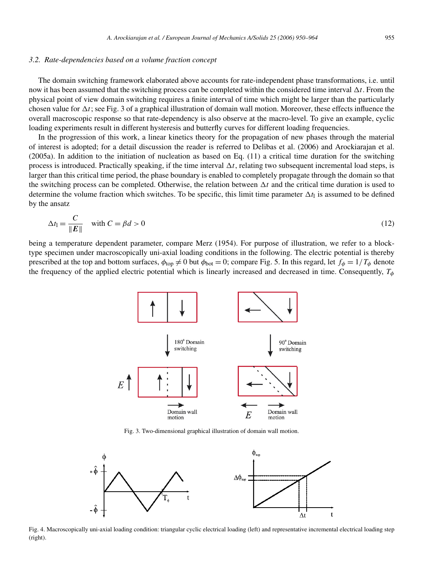#### *3.2. Rate-dependencies based on a volume fraction concept*

The domain switching framework elaborated above accounts for rate-independent phase transformations, i.e. until now it has been assumed that the switching process can be completed within the considered time interval  $\Delta t$ . From the physical point of view domain switching requires a finite interval of time which might be larger than the particularly chosen value for  $\Delta t$ ; see Fig. 3 of a graphical illustration of domain wall motion. Moreover, these effects influence the overall macroscopic response so that rate-dependency is also observe at the macro-level. To give an example, cyclic loading experiments result in different hysteresis and butterfly curves for different loading frequencies.

In the progression of this work, a linear kinetics theory for the propagation of new phases through the material of interest is adopted; for a detail discussion the reader is referred to Delibas et al. (2006) and Arockiarajan et al. (2005a). In addition to the initiation of nucleation as based on Eq. (11) a critical time duration for the switching process is introduced. Practically speaking, if the time interval  $\Delta t$ , relating two subsequent incremental load steps, is larger than this critical time period, the phase boundary is enabled to completely propagate through the domain so that the switching process can be completed. Otherwise, the relation between  $\Delta t$  and the critical time duration is used to determine the volume fraction which switches. To be specific, this limit time parameter  $\Delta t_1$  is assumed to be defined by the ansatz

$$
\Delta t_{\parallel} = \frac{C}{\|E\|} \quad \text{with } C = \beta d > 0 \tag{12}
$$

being a temperature dependent parameter, compare Merz (1954). For purpose of illustration, we refer to a blocktype specimen under macroscopically uni-axial loading conditions in the following. The electric potential is thereby prescribed at the top and bottom surfaces,  $\phi_{top} \neq 0$  but  $\phi_{bot} = 0$ ; compare Fig. 5. In this regard, let  $f_{\phi} = 1/T_{\phi}$  denote the frequency of the applied electric potential which is linearly increased and decreased in time. Consequently,  $T_{\phi}$ 



Fig. 3. Two-dimensional graphical illustration of domain wall motion.



Fig. 4. Macroscopically uni-axial loading condition: triangular cyclic electrical loading (left) and representative incremental electrical loading step (right).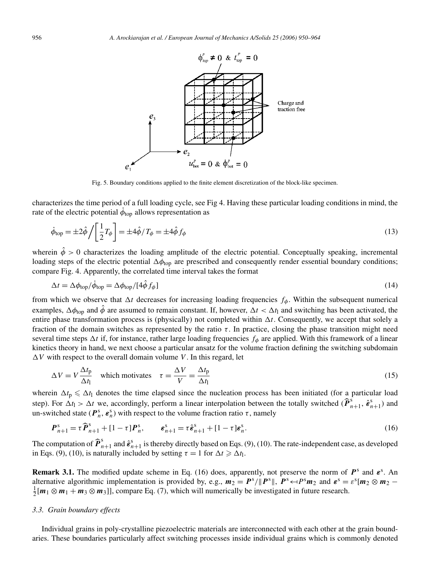

Fig. 5. Boundary conditions applied to the finite element discretization of the block-like specimen.

characterizes the time period of a full loading cycle, see Fig 4. Having these particular loading conditions in mind, the rate of the electric potential  $\phi_{\text{top}}$  allows representation as

$$
\dot{\phi}_{\text{top}} = \pm 2\hat{\phi} / \left[\frac{1}{2}T_{\phi}\right] = \pm 4\hat{\phi} / T_{\phi} = \pm 4\hat{\phi} f_{\phi}
$$
\n(13)

wherein  $\hat{\phi} > 0$  characterizes the loading amplitude of the electric potential. Conceptually speaking, incremental loading steps of the electric potential  $\Delta\phi_{\text{top}}$  are prescribed and consequently render essential boundary conditions; compare Fig. 4. Apparently, the correlated time interval takes the format

$$
\Delta t = \Delta \phi_{\text{top}} / \phi_{\text{top}} = \Delta \phi_{\text{top}} / [4 \phi f_{\phi}]
$$
\n(14)

from which we observe that  $\Delta t$  decreases for increasing loading frequencies  $f_{\phi}$ . Within the subsequent numerical examples,  $\Delta\phi_{\text{top}}$  and  $\hat{\phi}$  are assumed to remain constant. If, however,  $\Delta t < \Delta t_1$  and switching has been activated, the entire phase transformation process is (physically) not completed within  $\Delta t$ . Consequently, we accept that solely a fraction of the domain switches as represented by the ratio  $\tau$ . In practice, closing the phase transition might need several time steps  $\Delta t$  if, for instance, rather large loading frequencies  $f_{\phi}$  are applied. With this framework of a linear kinetics theory in hand, we next choose a particular ansatz for the volume fraction defining the switching subdomain  $\Delta V$  with respect to the overall domain volume V. In this regard, let

$$
\Delta V = V \frac{\Delta t_{\rm p}}{\Delta t_{\rm l}} \quad \text{which motivates} \quad \tau = \frac{\Delta V}{V} = \frac{\Delta t_{\rm p}}{\Delta t_{\rm l}} \tag{15}
$$

wherein  $\Delta t_p \leq \Delta t_1$  denotes the time elapsed since the nucleation process has been initiated (for a particular load step). For  $\Delta t_1 > \Delta t$  we, accordingly, perform a linear interpolation between the totally switched  $(\hat{\boldsymbol{P}}_{n+1}^s, \hat{\boldsymbol{\varepsilon}}_{n+1}^s)$  and un-switched state ( $\mathbf{P}_n^s$ ,  $\mathbf{\varepsilon}_n^s$ ) with respect to the volume fraction ratio  $\tau$ , namely

$$
\boldsymbol{P}_{n+1}^{\mathrm{s}} = \tau \widehat{\boldsymbol{P}}_{n+1}^{\mathrm{s}} + [1 - \tau] \boldsymbol{P}_n^{\mathrm{s}}, \qquad \boldsymbol{\varepsilon}_{n+1}^{\mathrm{s}} = \tau \widehat{\boldsymbol{\varepsilon}}_{n+1}^{\mathrm{s}} + [1 - \tau] \boldsymbol{\varepsilon}_n^{\mathrm{s}}.
$$
 (16)

The computation of  $\hat{\boldsymbol{P}}_{n+1}^s$  and  $\hat{\boldsymbol{\varepsilon}}_{n+1}^s$  is thereby directly based on Eqs. (9), (10). The rate-independent case, as developed in Eqs. (9), (10), is naturally included by setting  $\tau = 1$  for  $\Delta t \ge \Delta t_1$ .

**Remark 3.1.** The modified update scheme in Eq. (16) does, apparently, not preserve the norm of  $P^s$  and  $\varepsilon^s$ . An alternative algorithmic implementation is provided by, e.g.,  $m_2 = P^s / ||P^s||$ ,  $P^s \leftarrow P^s m_2$  and  $\epsilon^s = \epsilon^s [m_2 \otimes m_2 - \epsilon^s m_1]$  $\frac{1}{2}[m_1 \otimes m_1 + m_3 \otimes m_3]]$ , compare Eq. (7), which will numerically be investigated in future research.

#### *3.3. Grain boundary effects*

Individual grains in poly-crystalline piezoelectric materials are interconnected with each other at the grain boundaries. These boundaries particularly affect switching processes inside individual grains which is commonly denoted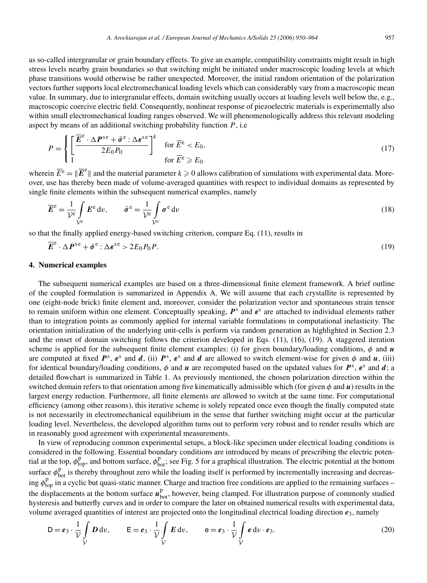as so-called intergranular or grain boundary effects. To give an example, compatibility constraints might result in high stress levels nearby grain boundaries so that switching might be initiated under macroscopic loading levels at which phase transitions would otherwise be rather unexpected. Moreover, the initial random orientation of the polarization vectors further supports local electromechanical loading levels which can considerably vary from a macroscopic mean value. In summary, due to intergranular effects, domain switching usually occurs at loading levels well below the, e.g., macroscopic coercive electric field. Consequently, nonlinear response of piezoelectric materials is experimentally also within small electromechanical loading ranges observed. We will phenomenologically address this relevant modeling aspect by means of an additional switching probability function  $P$ , i.e.

$$
P = \begin{cases} \left[ \frac{\overline{E}^e \cdot \Delta P^{se} + \bar{\sigma}^e : \Delta \varepsilon^{se}}{2E_0 P_0} \right]^k & \text{for } \overline{E}^e < E_0, \\ 1 & \text{for } \overline{E}^e \geqslant E_0 \end{cases} \tag{17}
$$

wherein  $\overline{E}^e = \|\overline{E}^e\|$  and the material parameter  $k \ge 0$  allows calibration of simulations with experimental data. Moreover, use has thereby been made of volume-averaged quantities with respect to individual domains as represented by single finite elements within the subsequent numerical examples, namely

$$
\overline{E}^{\mathbf{e}} = \frac{1}{\mathcal{V}^{\mathbf{e}}} \int_{\mathcal{V}^{\mathbf{e}}} E^{\mathbf{e}} \, \mathrm{d}v, \qquad \bar{\sigma}^{\mathbf{e}} = \frac{1}{\mathcal{V}^{\mathbf{e}}} \int_{\mathcal{V}^{\mathbf{e}}} \sigma^{\mathbf{e}} \, \mathrm{d}v \tag{18}
$$

so that the finally applied energy-based switching criterion, compare Eq. (11), results in

$$
\overline{E}^e \cdot \Delta P^{se} + \bar{\sigma}^e : \Delta \varepsilon^{se} > 2E_0 P_0 P. \tag{19}
$$

# **4. Numerical examples**

The subsequent numerical examples are based on a three-dimensional finite element framework. A brief outline of the coupled formulation is summarized in Appendix A. We will assume that each crystallite is represented by one (eight-node brick) finite element and, moreover, consider the polarization vector and spontaneous strain tensor to remain uniform within one element. Conceptually speaking,  $P^s$  and  $\varepsilon^s$  are attached to individual elements rather than to integration points as commonly applied for internal variable formulations in computational inelasticity. The orientation initialization of the underlying unit-cells is perform via random generation as highlighted in Section 2.3 and the onset of domain switching follows the criterion developed in Eqs. (11), (16), (19). A staggered iteration scheme is applied for the subsequent finite element examples: (i) for given boundary/loading conditions,  $\phi$  and  $\boldsymbol{u}$ are computed at fixed  $P^s$ ,  $\varepsilon^s$  and  $d$ , (ii)  $P^s$ ,  $\varepsilon^s$  and  $d$  are allowed to switch element-wise for given  $\phi$  and  $u$ , (iii) for identical boundary/loading conditions,  $\phi$  and  $u$  are recomputed based on the updated values for  $P^s$ ,  $\varepsilon^s$  and  $d$ ; a detailed flowchart is summarized in Table 1. As previously mentioned, the chosen polarization direction within the switched domain refers to that orientation among five kinematically admissible which (for given  $\phi$  and  $\bf{u}$ ) results in the largest energy reduction. Furthermore, all finite elements are allowed to switch at the same time. For computational efficiency (among other reasons), this iterative scheme is solely repeated once even though the finally computed state is not necessarily in electromechanical equilibrium in the sense that further switching might occur at the particular loading level. Nevertheless, the developed algorithm turns out to perform very robust and to render results which are in reasonably good agreement with experimental measurements.

In view of reproducing common experimental setups, a block-like specimen under electrical loading conditions is considered in the following. Essential boundary conditions are introduced by means of prescribing the electric potential at the top,  $\phi_{top}^p$ , and bottom surface,  $\phi_{bot}^p$ ; see Fig. 5 for a graphical illustration. The electric potential at the bottom surface  $\phi_{bot}^p$  is thereby throughout zero while the loading itself is performed by incrementally increasing and decreasing  $\phi_{top}^p$  in a cyclic but quasi-static manner. Charge and traction free conditions are applied to the remaining surfaces – the displacements at the bottom surface  $u_{bot}^p$ , however, being clamped. For illustration purpose of commonly studied hysteresis and butterfly curves and in order to compare the later on obtained numerical results with experimental data, volume averaged quantities of interest are projected onto the longitudinal electrical loading direction  $e_3$ , namely

$$
D = e_3 \cdot \frac{1}{\mathcal{V}} \int\limits_{\mathcal{V}} D dv, \qquad E = e_3 \cdot \frac{1}{\mathcal{V}} \int\limits_{\mathcal{V}} E dv, \qquad e = e_3 \cdot \frac{1}{\mathcal{V}} \int\limits_{\mathcal{V}} \varepsilon dv \cdot e_3.
$$
 (20)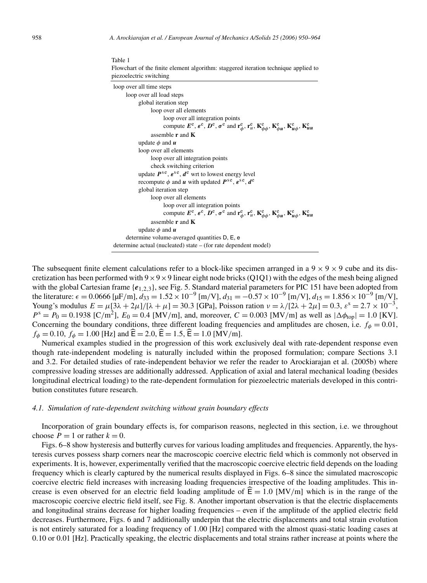| piezoelectric switching                                                                                                                                                                                       |
|---------------------------------------------------------------------------------------------------------------------------------------------------------------------------------------------------------------|
| loop over all time steps                                                                                                                                                                                      |
| loop over all load steps                                                                                                                                                                                      |
| global iteration step                                                                                                                                                                                         |
| loop over all elements                                                                                                                                                                                        |
| loop over all integration points                                                                                                                                                                              |
| compute $E^e$ , $e^e$ , $D^e$ , $\sigma^e$ and $\mathbf{r}_{\phi}^e$ , $\mathbf{r}_{u}^e$ , $\mathbf{K}_{\phi\phi}^e$ , $\mathbf{K}_{\phi u}^e$ , $\mathbf{K}_{uu}^e$ , $\mathbf{K}_{uu}^e$                   |
| assemble $\bf{r}$ and $\bf{K}$                                                                                                                                                                                |
| update $\phi$ and $\boldsymbol{u}$                                                                                                                                                                            |
| loop over all elements                                                                                                                                                                                        |
| loop over all integration points                                                                                                                                                                              |
| check switching criterion                                                                                                                                                                                     |
| update $P^{\rm se}$ , $\varepsilon^{\rm se}$ , $d^{\rm e}$ wrt to lowest energy level                                                                                                                         |
| recompute $\phi$ and u with updated $P^{\rm se}$ , $\varepsilon^{\rm se}$ , $d^{\rm e}$                                                                                                                       |
| global iteration step                                                                                                                                                                                         |
| loop over all elements                                                                                                                                                                                        |
| loop over all integration points                                                                                                                                                                              |
| compute $E^e$ , $\varepsilon^e$ , $D^e$ , $\sigma^e$ and $\mathbf{r}_{\phi}^e$ , $\mathbf{r}_{u}^e$ , $\mathbf{K}_{\phi\phi}^e$ , $\mathbf{K}_{\phi u}^e$ , $\mathbf{K}_{\mu\phi}^e$ , $\mathbf{K}_{\mu u}^e$ |
| assemble $\bf{r}$ and $\bf{K}$                                                                                                                                                                                |
| update $\phi$ and $\boldsymbol{u}$                                                                                                                                                                            |
| determine volume-averaged quantities D, E, e                                                                                                                                                                  |
| determine actual (nucleated) state – (for rate dependent model)                                                                                                                                               |

Table 1 Flowchart of the finite element algorithm: staggered iteration technique applied to

The subsequent finite element calculations refer to a block-like specimen arranged in a  $9 \times 9 \times 9$  cube and its discretization has been performed with  $9 \times 9 \times 9$  linear eight node bricks (Q1Q1) with the edges of the mesh being aligned with the global Cartesian frame  $\{e_{1,2,3}\}\$ , see Fig. 5. Standard material parameters for PIC 151 have been adopted from the literature:  $\epsilon = 0.0666$  [µF/m],  $d_{33} = 1.52 \times 10^{-9}$  [m/V],  $d_{31} = -0.57 \times 10^{-9}$  [m/V],  $d_{15} = 1.856 \times 10^{-9}$  [m/V], Young's modulus  $E = \mu [3\lambda + 2\mu]/[\lambda + \mu] = 30.3$  [GPa], Poisson ration  $\nu = \lambda/[2\lambda + 2\mu] = 0.3$ ,  $\varepsilon^s = 2.7 \times 10^{-3}$ ,  $P^s = P_0 = 0.1938$  [C/m<sup>2</sup>],  $E_0 = 0.4$  [MV/m], and, moreover,  $C = 0.003$  [MV/m] as well as  $|\Delta \phi_{top}| = 1.0$  [KV]. Concerning the boundary conditions, three different loading frequencies and amplitudes are chosen, i.e.  $f_{\phi} = 0.01$ ,  $f_{\phi} = 0.10$ ,  $f_{\phi} = 1.00$  [Hz] and  $\hat{\mathsf{E}} = 2.0$ ,  $\hat{\mathsf{E}} = 1.5$ ,  $\hat{\mathsf{E}} = 1.0$  [MV/m].

Numerical examples studied in the progression of this work exclusively deal with rate-dependent response even though rate-independent modeling is naturally included within the proposed formulation; compare Sections 3.1 and 3.2. For detailed studies of rate-independent behavior we refer the reader to Arockiarajan et al. (2005b) where compressive loading stresses are additionally addressed. Application of axial and lateral mechanical loading (besides longitudinal electrical loading) to the rate-dependent formulation for piezoelectric materials developed in this contribution constitutes future research.

#### *4.1. Simulation of rate-dependent switching without grain boundary effects*

Incorporation of grain boundary effects is, for comparison reasons, neglected in this section, i.e. we throughout choose  $P = 1$  or rather  $k = 0$ .

Figs. 6–8 show hysteresis and butterfly curves for various loading amplitudes and frequencies. Apparently, the hysteresis curves possess sharp corners near the macroscopic coercive electric field which is commonly not observed in experiments. It is, however, experimentally verified that the macroscopic coercive electric field depends on the loading frequency which is clearly captured by the numerical results displayed in Figs. 6–8 since the simulated macroscopic coercive electric field increases with increasing loading frequencies irrespective of the loading amplitudes. This increase is even observed for an electric field loading amplitude of  $\hat{E} = 1.0$  [MV/m] which is in the range of the macroscopic coercive electric field itself, see Fig. 8. Another important observation is that the electric displacements and longitudinal strains decrease for higher loading frequencies – even if the amplitude of the applied electric field decreases. Furthermore, Figs. 6 and 7 additionally underpin that the electric displacements and total strain evolution is not entirely saturated for a loading frequency of 1.00 [Hz] compared with the almost quasi-static loading cases at 0.10 or 0.01 [Hz]. Practically speaking, the electric displacements and total strains rather increase at points where the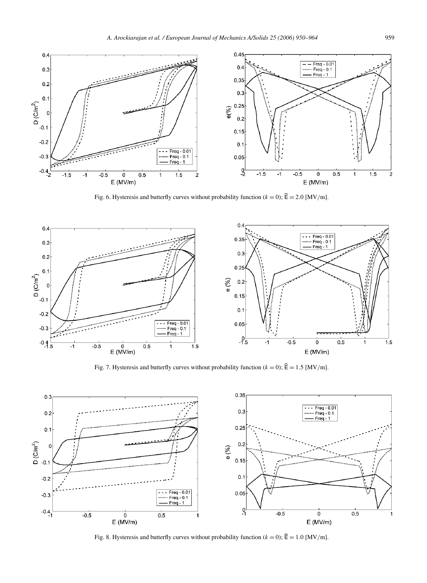

Fig. 6. Hysteresis and butterfly curves without probability function ( $k = 0$ );  $\hat{\mathbf{E}} = 2.0$  [MV/m].



Fig. 7. Hysteresis and butterfly curves without probability function ( $k = 0$ );  $\hat{\mathbf{E}} = 1.5$  [MV/m].



Fig. 8. Hysteresis and butterfly curves without probability function ( $k = 0$ );  $\hat{\mathbf{E}} = 1.0$  [MV/m].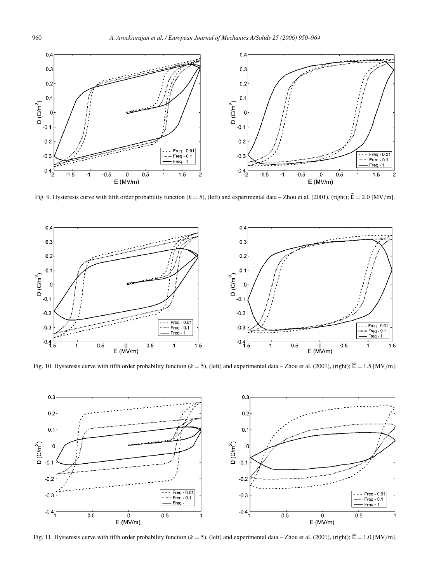

Fig. 9. Hysteresis curve with fifth order probability function ( $k = 5$ ), (left) and experimental data – Zhou et al. (2001), (right);  $\hat{E} = 2.0$  [MV/m].



Fig. 10. Hysteresis curve with fifth order probability function ( $k = 5$ ), (left) and experimental data – Zhou et al. (2001), (right);  $\hat{E} = 1.5$  [MV/m].



Fig. 11. Hysteresis curve with fifth order probability function ( $k = 5$ ), (left) and experimental data – Zhou et al. (2001), (right);  $\hat{E} = 1.0$  [MV/m].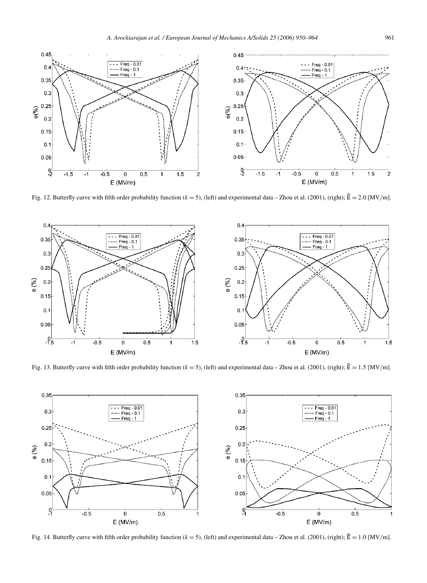

Fig. 12. Butterfly curve with fifth order probability function ( $k = 5$ ), (left) and experimental data – Zhou et al. (2001), (right);  $\hat{E} = 2.0$  [MV/m].



Fig. 13. Butterfly curve with fifth order probability function ( $k = 5$ ), (left) and experimental data – Zhou et al. (2001), (right);  $\hat{E} = 1.5$  [MV/m].



Fig. 14. Butterfly curve with fifth order probability function ( $k = 5$ ), (left) and experimental data – Zhou et al. (2001), (right);  $\hat{E} = 1.0$  [MV/m].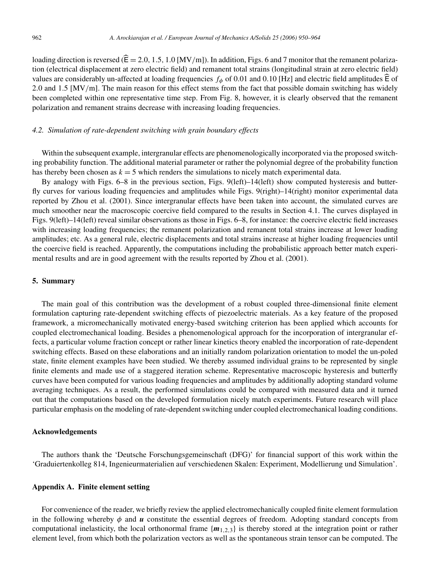loading direction is reversed ( $\hat{\mathsf{E}} = 2.0, 1.5, 1.0$  [MV/m]). In addition, Figs. 6 and 7 monitor that the remanent polarization (electrical displacement at zero electric field) and remanent total strains (longitudinal strain at zero electric field) values are considerably un-affected at loading frequencies  $f_{\phi}$  of 0.01 and 0.10 [Hz] and electric field amplitudes  $\widehat{\mathsf{E}}$  of 2.0 and 1.5 [MV/m]. The main reason for this effect stems from the fact that possible domain switching has widely been completed within one representative time step. From Fig. 8, however, it is clearly observed that the remanent polarization and remanent strains decrease with increasing loading frequencies.

#### *4.2. Simulation of rate-dependent switching with grain boundary effects*

Within the subsequent example, intergranular effects are phenomenologically incorporated via the proposed switching probability function. The additional material parameter or rather the polynomial degree of the probability function has thereby been chosen as  $k = 5$  which renders the simulations to nicely match experimental data.

By analogy with Figs. 6–8 in the previous section, Figs. 9(left)–14(left) show computed hysteresis and butterfly curves for various loading frequencies and amplitudes while Figs. 9(right)–14(right) monitor experimental data reported by Zhou et al. (2001). Since intergranular effects have been taken into account, the simulated curves are much smoother near the macroscopic coercive field compared to the results in Section 4.1. The curves displayed in Figs. 9(left)–14(left) reveal similar observations as those in Figs. 6–8, for instance: the coercive electric field increases with increasing loading frequencies; the remanent polarization and remanent total strains increase at lower loading amplitudes; etc. As a general rule, electric displacements and total strains increase at higher loading frequencies until the coercive field is reached. Apparently, the computations including the probabilistic approach better match experimental results and are in good agreement with the results reported by Zhou et al. (2001).

### **5. Summary**

The main goal of this contribution was the development of a robust coupled three-dimensional finite element formulation capturing rate-dependent switching effects of piezoelectric materials. As a key feature of the proposed framework, a micromechanically motivated energy-based switching criterion has been applied which accounts for coupled electromechanical loading. Besides a phenomenological approach for the incorporation of intergranular effects, a particular volume fraction concept or rather linear kinetics theory enabled the incorporation of rate-dependent switching effects. Based on these elaborations and an initially random polarization orientation to model the un-poled state, finite element examples have been studied. We thereby assumed individual grains to be represented by single finite elements and made use of a staggered iteration scheme. Representative macroscopic hysteresis and butterfly curves have been computed for various loading frequencies and amplitudes by additionally adopting standard volume averaging techniques. As a result, the performed simulations could be compared with measured data and it turned out that the computations based on the developed formulation nicely match experiments. Future research will place particular emphasis on the modeling of rate-dependent switching under coupled electromechanical loading conditions.

## **Acknowledgements**

The authors thank the 'Deutsche Forschungsgemeinschaft (DFG)' for financial support of this work within the 'Graduiertenkolleg 814, Ingenieurmaterialien auf verschiedenen Skalen: Experiment, Modellierung und Simulation'.

# **Appendix A. Finite element setting**

For convenience of the reader, we briefly review the applied electromechanically coupled finite element formulation in the following whereby  $\phi$  and  $\boldsymbol{u}$  constitute the essential degrees of freedom. Adopting standard concepts from computational inelasticity, the local orthonormal frame  ${m_{1,2,3}}$  is thereby stored at the integration point or rather element level, from which both the polarization vectors as well as the spontaneous strain tensor can be computed. The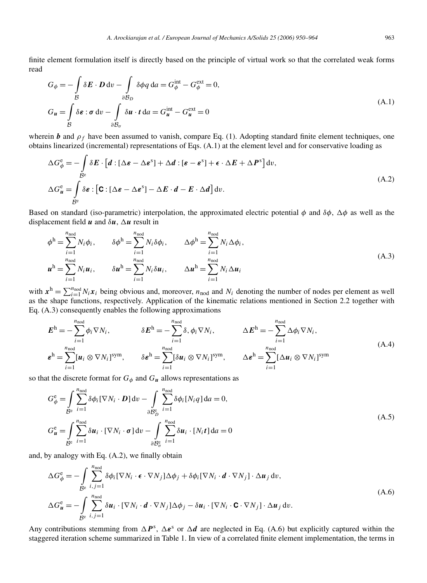finite element formulation itself is directly based on the principle of virtual work so that the correlated weak forms read

$$
G_{\phi} = -\int_{\mathcal{B}} \delta \mathbf{E} \cdot \mathbf{D} \, \mathrm{d}v - \int_{\partial \mathcal{B}_D} \delta \phi q \, \mathrm{d}a = G_{\phi}^{\text{int}} - G_{\phi}^{\text{ext}} = 0,
$$
  
\n
$$
G_{\mathbf{u}} = \int_{\mathcal{B}} \delta \mathbf{\varepsilon} : \sigma \, \mathrm{d}v - \int_{\partial \mathcal{B}_{\sigma}} \delta \mathbf{u} \cdot t \, \mathrm{d}a = G_{\mathbf{u}}^{\text{int}} - G_{\mathbf{u}}^{\text{ext}} = 0
$$
\n(A.1)

wherein b and  $\rho_f$  have been assumed to vanish, compare Eq. (1). Adopting standard finite element techniques, one obtains linearized (incremental) representations of Eqs. (A.1) at the element level and for conservative loading as

$$
\Delta G_{\phi}^{\mathbf{e}} = -\int_{\mathcal{B}^{\mathbf{e}}} \delta E \cdot [d : [\Delta \boldsymbol{\varepsilon} - \Delta \boldsymbol{\varepsilon}^{\mathbf{s}}] + \Delta d : [\boldsymbol{\varepsilon} - \boldsymbol{\varepsilon}^{\mathbf{s}}] + \boldsymbol{\varepsilon} \cdot \Delta E + \Delta P^{\mathbf{s}}] dv,
$$
  

$$
\Delta G_{u}^{\mathbf{e}} = \int_{\mathcal{B}^{\mathbf{e}}} \delta \boldsymbol{\varepsilon} : [\mathbf{C} : [\Delta \boldsymbol{\varepsilon} - \Delta \boldsymbol{\varepsilon}^{\mathbf{s}}] - \Delta E \cdot d - E \cdot \Delta d] dv.
$$
 (A.2)

Based on standard (iso-parametric) interpolation, the approximated electric potential  $\phi$  and  $\delta\phi$ ,  $\Delta\phi$  as well as the displacement field  $u$  and  $\delta u$ ,  $\Delta u$  result in

$$
\phi^{\mathbf{h}} = \sum_{i=1}^{n_{\text{nod}}} N_i \phi_i, \qquad \delta \phi^{\mathbf{h}} = \sum_{i=1}^{n_{\text{nod}}} N_i \delta \phi_i, \qquad \Delta \phi^{\mathbf{h}} = \sum_{i=1}^{n_{\text{nod}}} N_i \Delta \phi_i,
$$
\n(A.3)\n
$$
\mathbf{u}^{\mathbf{h}} = \sum_{i=1}^{n_{\text{nod}}} N_i \mathbf{u}_i, \qquad \delta \mathbf{u}^{\mathbf{h}} = \sum_{i=1}^{n_{\text{nod}}} N_i \delta \mathbf{u}_i, \qquad \Delta \mathbf{u}^{\mathbf{h}} = \sum_{i=1}^{n_{\text{nod}}} N_i \Delta \mathbf{u}_i
$$

with  $x^h = \sum_{i=1}^{n_{\text{nod}}} N_i x_i$  being obvious and, moreover,  $n_{\text{nod}}$  and  $N_i$  denoting the number of nodes per element as well as the shape functions, respectively. Application of the kinematic relations mentioned in Section 2.2 together with Eq. (A.3) consequently enables the following approximations

$$
E^{\text{h}} = -\sum_{i=1}^{n_{\text{nod}}} \phi_i \nabla N_i, \qquad \delta E^{\text{h}} = -\sum_{i=1}^{n_{\text{nod}}} \delta, \phi_i \nabla N_i, \qquad \Delta E^{\text{h}} = -\sum_{i=1}^{n_{\text{nod}}} \Delta \phi_i \nabla N_i,
$$
\n(A.4)\n
$$
\epsilon^{\text{h}} = \sum_{i=1}^{n_{\text{nod}}} [u_i \otimes \nabla N_i]^{sym}, \qquad \delta \epsilon^{\text{h}} = \sum_{i=1}^{n_{\text{nod}}} [\delta u_i \otimes \nabla N_i]^{sym}, \qquad \Delta \epsilon^{\text{h}} = \sum_{i=1}^{n_{\text{nod}}} [\Delta u_i \otimes \nabla N_i]^{sym}
$$

so that the discrete format for  $G_{\phi}$  and  $G_{\mu}$  allows representations as

$$
G_{\phi}^{\mathbf{e}} = \int_{\mathcal{B}^{\mathbf{e}}} \sum_{i=1}^{n_{\text{nod}}} \delta \phi_i [\nabla N_i \cdot \mathbf{D}] \, dv - \int_{\partial \mathcal{B}_{D}^{\mathbf{e}}} \sum_{i=1}^{n_{\text{nod}}} \delta \phi_i [N_i q] \, da = 0,
$$
\n
$$
G_{\mathbf{u}}^{\mathbf{e}} = \int_{\mathcal{B}^{\mathbf{e}}} \sum_{i=1}^{n_{\text{nod}}} \delta \mathbf{u}_i \cdot [\nabla N_i \cdot \boldsymbol{\sigma}] \, dv - \int_{\partial \mathcal{B}_{\sigma}^{\mathbf{e}}} \sum_{i=1}^{n_{\text{nod}}} \delta \mathbf{u}_i \cdot [N_i t] \, da = 0
$$
\n(A.5)

and, by analogy with Eq. (A.2), we finally obtain

$$
\Delta G_{\phi}^{\text{e}} = -\int_{\mathcal{B}^{\text{e}}} \sum_{i,j=1}^{n_{\text{nod}}} \delta \phi_i [\nabla N_i \cdot \epsilon \cdot \nabla N_j] \Delta \phi_j + \delta \phi_i [\nabla N_i \cdot \boldsymbol{d} \cdot \nabla N_j] \cdot \Delta \boldsymbol{u}_j \, \mathrm{d}v,
$$
\n
$$
\Delta G_{\boldsymbol{u}}^{\text{e}} = -\int_{\mathcal{B}^{\text{e}}} \sum_{i,j=1}^{n_{\text{nod}}} \delta \boldsymbol{u}_i \cdot [\nabla N_i \cdot \boldsymbol{d} \cdot \nabla N_j] \Delta \phi_j - \delta \boldsymbol{u}_i \cdot [\nabla N_i \cdot \mathbf{C} \cdot \nabla N_j] \cdot \Delta \boldsymbol{u}_j \, \mathrm{d}v.
$$
\n(A.6)

Any contributions stemming from  $\Delta P^s$ ,  $\Delta \varepsilon^s$  or  $\Delta d$  are neglected in Eq. (A.6) but explicitly captured within the staggered iteration scheme summarized in Table 1. In view of a correlated finite element implementation, the terms in